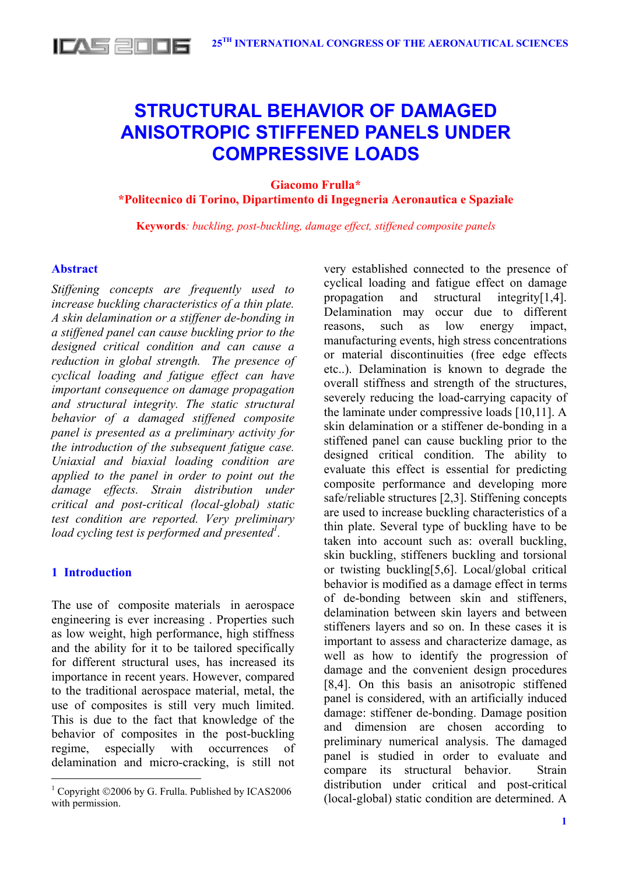

# **STRUCTURAL BEHAVIOR OF DAMAGED ANISOTROPIC STIFFENED PANELS UNDER COMPRESSIVE LOADS**

**Giacomo Frulla\*** 

**\*Politecnico di Torino, Dipartimento di Ingegneria Aeronautica e Spaziale** 

**Keywords***: buckling, post-buckling, damage effect, stiffened composite panels* 

## **Abstract**

*Stiffening concepts are frequently used to increase buckling characteristics of a thin plate. A skin delamination or a stiffener de-bonding in a stiffened panel can cause buckling prior to the designed critical condition and can cause a reduction in global strength. The presence of cyclical loading and fatigue effect can have important consequence on damage propagation and structural integrity. The static structural behavior of a damaged stiffened composite panel is presented as a preliminary activity for the introduction of the subsequent fatigue case. Uniaxial and biaxial loading condition are applied to the panel in order to point out the damage effects. Strain distribution under critical and post-critical (local-global) static test condition are reported. Very preliminary load cycling test is performed and presented<sup>1</sup> .* 

# **1 Introduction**

 $\overline{a}$ 

The use of composite materials in aerospace engineering is ever increasing . Properties such as low weight, high performance, high stiffness and the ability for it to be tailored specifically for different structural uses, has increased its importance in recent years. However, compared to the traditional aerospace material, metal, the use of composites is still very much limited. This is due to the fact that knowledge of the behavior of composites in the post-buckling regime, especially with occurrences of delamination and micro-cracking, is still not very established connected to the presence of cyclical loading and fatigue effect on damage propagation and structural integrity[1,4]. Delamination may occur due to different reasons, such as low energy impact, manufacturing events, high stress concentrations or material discontinuities (free edge effects etc..). Delamination is known to degrade the overall stiffness and strength of the structures, severely reducing the load-carrying capacity of the laminate under compressive loads [10,11]. A skin delamination or a stiffener de-bonding in a stiffened panel can cause buckling prior to the designed critical condition. The ability to evaluate this effect is essential for predicting composite performance and developing more safe/reliable structures [2,3]. Stiffening concepts are used to increase buckling characteristics of a thin plate. Several type of buckling have to be taken into account such as: overall buckling, skin buckling, stiffeners buckling and torsional or twisting buckling[5,6]. Local/global critical behavior is modified as a damage effect in terms of de-bonding between skin and stiffeners, delamination between skin layers and between stiffeners layers and so on. In these cases it is important to assess and characterize damage, as well as how to identify the progression of damage and the convenient design procedures [8,4]. On this basis an anisotropic stiffened panel is considered, with an artificially induced damage: stiffener de-bonding. Damage position and dimension are chosen according to preliminary numerical analysis. The damaged panel is studied in order to evaluate and compare its structural behavior. Strain distribution under critical and post-critical (local-global) static condition are determined. A

 $1$  Copyright  $@2006$  by G. Frulla. Published by ICAS2006 with permission.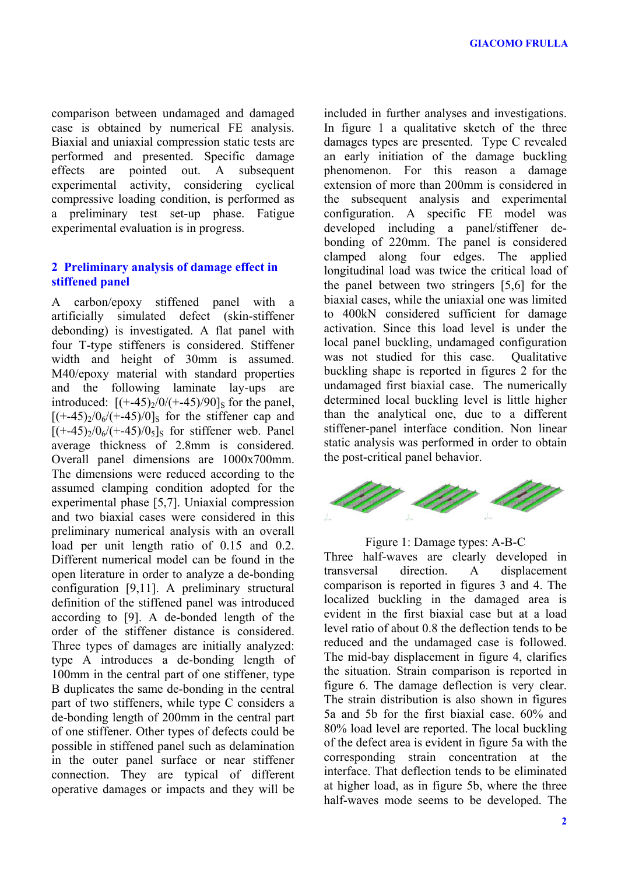comparison between undamaged and damaged case is obtained by numerical FE analysis. Biaxial and uniaxial compression static tests are performed and presented. Specific damage effects are pointed out. A subsequent experimental activity, considering cyclical compressive loading condition, is performed as a preliminary test set-up phase. Fatigue experimental evaluation is in progress.

# **2 Preliminary analysis of damage effect in stiffened panel**

A carbon/epoxy stiffened panel with a artificially simulated defect (skin-stiffener debonding) is investigated. A flat panel with four T-type stiffeners is considered. Stiffener width and height of 30mm is assumed. M40/epoxy material with standard properties and the following laminate lay-ups are introduced:  $[ (+-45)/0/ (+-45)/90]$ <sub>S</sub> for the panel,  $[ (+-45)/0<sub>6</sub>/(+45)/0]$ s for the stiffener cap and  $[ (+45)/0<sub>6</sub> / (+45)/0<sub>5</sub> ]$ <sub>S</sub> for stiffener web. Panel average thickness of 2.8mm is considered. Overall panel dimensions are 1000x700mm. The dimensions were reduced according to the assumed clamping condition adopted for the experimental phase [5,7]. Uniaxial compression and two biaxial cases were considered in this preliminary numerical analysis with an overall load per unit length ratio of  $0.15$  and  $0.2$ . Different numerical model can be found in the open literature in order to analyze a de-bonding configuration [9,11]. A preliminary structural definition of the stiffened panel was introduced according to [9]. A de-bonded length of the order of the stiffener distance is considered. Three types of damages are initially analyzed: type A introduces a de-bonding length of 100mm in the central part of one stiffener, type B duplicates the same de-bonding in the central part of two stiffeners, while type C considers a de-bonding length of 200mm in the central part of one stiffener. Other types of defects could be possible in stiffened panel such as delamination in the outer panel surface or near stiffener connection. They are typical of different operative damages or impacts and they will be

included in further analyses and investigations. In figure 1 a qualitative sketch of the three damages types are presented. Type C revealed an early initiation of the damage buckling phenomenon. For this reason a damage extension of more than 200mm is considered in the subsequent analysis and experimental configuration. A specific FE model was developed including a panel/stiffener debonding of 220mm. The panel is considered clamped along four edges. The applied longitudinal load was twice the critical load of the panel between two stringers [5,6] for the biaxial cases, while the uniaxial one was limited to 400kN considered sufficient for damage activation. Since this load level is under the local panel buckling, undamaged configuration was not studied for this case. Qualitative buckling shape is reported in figures 2 for the undamaged first biaxial case. The numerically determined local buckling level is little higher than the analytical one, due to a different stiffener-panel interface condition. Non linear static analysis was performed in order to obtain the post-critical panel behavior.



Figure 1: Damage types: A-B-C

Three half-waves are clearly developed in transversal direction. A displacement comparison is reported in figures 3 and 4. The localized buckling in the damaged area is evident in the first biaxial case but at a load level ratio of about 0.8 the deflection tends to be reduced and the undamaged case is followed. The mid-bay displacement in figure 4, clarifies the situation. Strain comparison is reported in figure 6. The damage deflection is very clear. The strain distribution is also shown in figures 5a and 5b for the first biaxial case. 60% and 80% load level are reported. The local buckling of the defect area is evident in figure 5a with the corresponding strain concentration at the interface. That deflection tends to be eliminated at higher load, as in figure 5b, where the three half-waves mode seems to be developed. The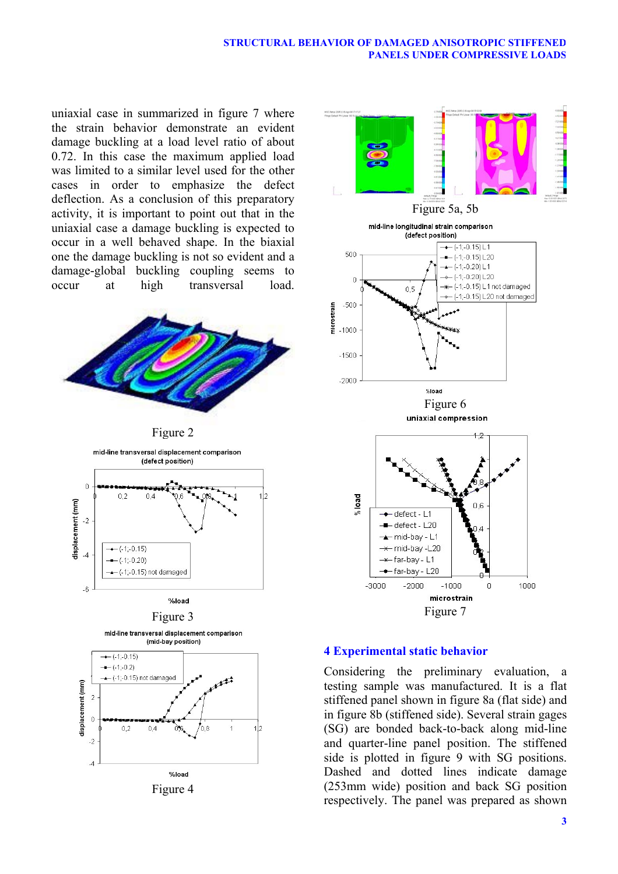uniaxial case in summarized in figure 7 where the strain behavior demonstrate an evident damage buckling at a load level ratio of about 0.72. In this case the maximum applied load was limited to a similar level used for the other cases in order to emphasize the defect deflection. As a conclusion of this preparatory activity, it is important to point out that in the uniaxial case a damage buckling is expected to occur in a well behaved shape. In the biaxial one the damage buckling is not so evident and a damage-global buckling coupling seems to occur at high transversal load.





# **4 Experimental static behavior**

Considering the preliminary evaluation, a testing sample was manufactured. It is a flat stiffened panel shown in figure 8a (flat side) and in figure 8b (stiffened side). Several strain gages (SG) are bonded back-to-back along mid-line and quarter-line panel position. The stiffened side is plotted in figure 9 with SG positions. Dashed and dotted lines indicate damage (253mm wide) position and back SG position respectively. The panel was prepared as shown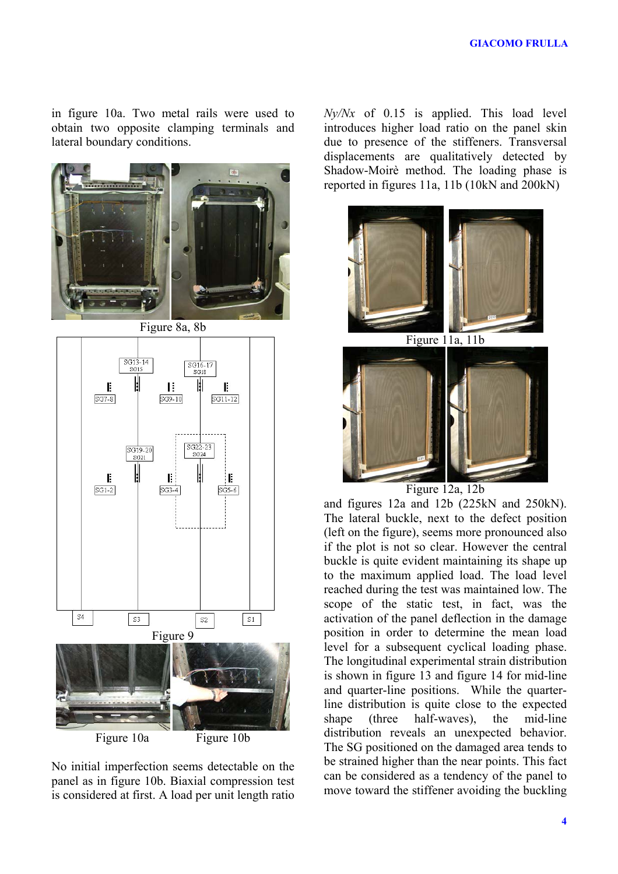in figure 10a. Two metal rails were used to obtain two opposite clamping terminals and lateral boundary conditions.





No initial imperfection seems detectable on the panel as in figure 10b. Biaxial compression test is considered at first. A load per unit length ratio *Ny/Nx* of 0.15 is applied. This load level introduces higher load ratio on the panel skin due to presence of the stiffeners. Transversal displacements are qualitatively detected by Shadow-Moirè method. The loading phase is reported in figures 11a, 11b (10kN and 200kN)



and figures 12a and 12b (225kN and 250kN). The lateral buckle, next to the defect position (left on the figure), seems more pronounced also if the plot is not so clear. However the central buckle is quite evident maintaining its shape up to the maximum applied load. The load level reached during the test was maintained low. The scope of the static test, in fact, was the activation of the panel deflection in the damage position in order to determine the mean load level for a subsequent cyclical loading phase. The longitudinal experimental strain distribution is shown in figure 13 and figure 14 for mid-line and quarter-line positions. While the quarterline distribution is quite close to the expected shape (three half-waves), the mid-line distribution reveals an unexpected behavior. The SG positioned on the damaged area tends to be strained higher than the near points. This fact can be considered as a tendency of the panel to move toward the stiffener avoiding the buckling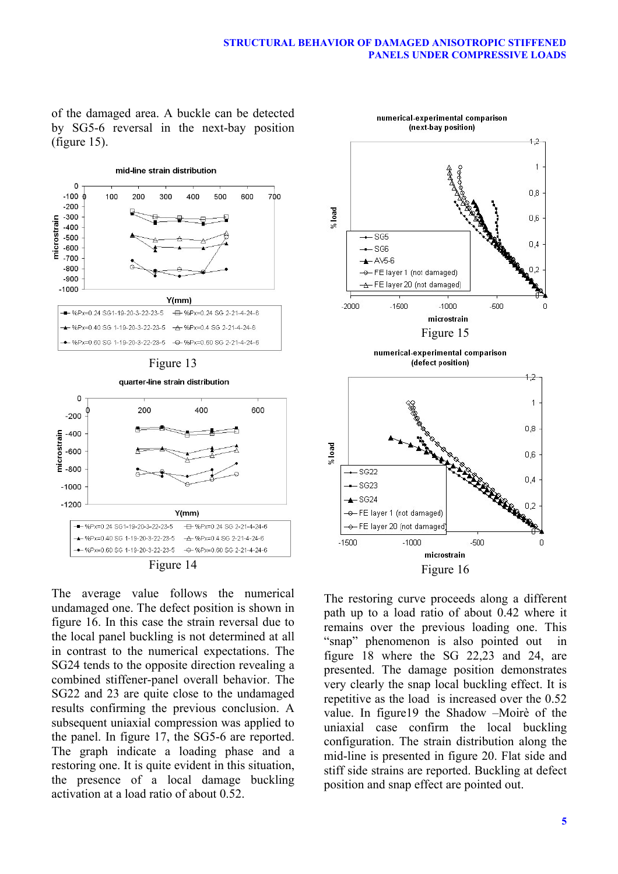of the damaged area. A buckle can be detected by SG5-6 reversal in the next-bay position (figure 15).





The average value follows the numerical undamaged one. The defect position is shown in figure 16. In this case the strain reversal due to the local panel buckling is not determined at all in contrast to the numerical expectations. The SG24 tends to the opposite direction revealing a combined stiffener-panel overall behavior. The SG22 and 23 are quite close to the undamaged results confirming the previous conclusion. A subsequent uniaxial compression was applied to the panel. In figure 17, the SG5-6 are reported. The graph indicate a loading phase and a restoring one. It is quite evident in this situation, the presence of a local damage buckling activation at a load ratio of about 0.52.



The restoring curve proceeds along a different path up to a load ratio of about 0.42 where it remains over the previous loading one. This "snap" phenomenon is also pointed out in figure 18 where the SG 22,23 and 24, are presented. The damage position demonstrates very clearly the snap local buckling effect. It is repetitive as the load is increased over the 0.52 value. In figure19 the Shadow –Moirè of the uniaxial case confirm the local buckling configuration. The strain distribution along the mid-line is presented in figure 20. Flat side and stiff side strains are reported. Buckling at defect position and snap effect are pointed out.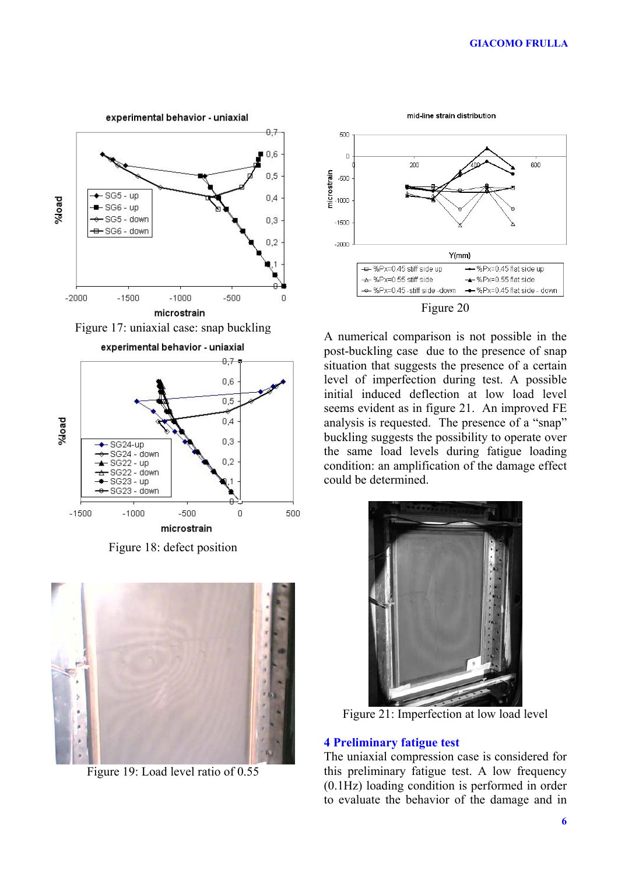

Figure 18: defect position



Figure 19: Load level ratio of 0.55



A numerical comparison is not possible in the post-buckling case due to the presence of snap situation that suggests the presence of a certain level of imperfection during test. A possible initial induced deflection at low load level seems evident as in figure 21. An improved FE analysis is requested. The presence of a "snap" buckling suggests the possibility to operate over the same load levels during fatigue loading condition: an amplification of the damage effect could be determined.



Figure 21: Imperfection at low load level

## **4 Preliminary fatigue test**

The uniaxial compression case is considered for this preliminary fatigue test. A low frequency (0.1Hz) loading condition is performed in order to evaluate the behavior of the damage and in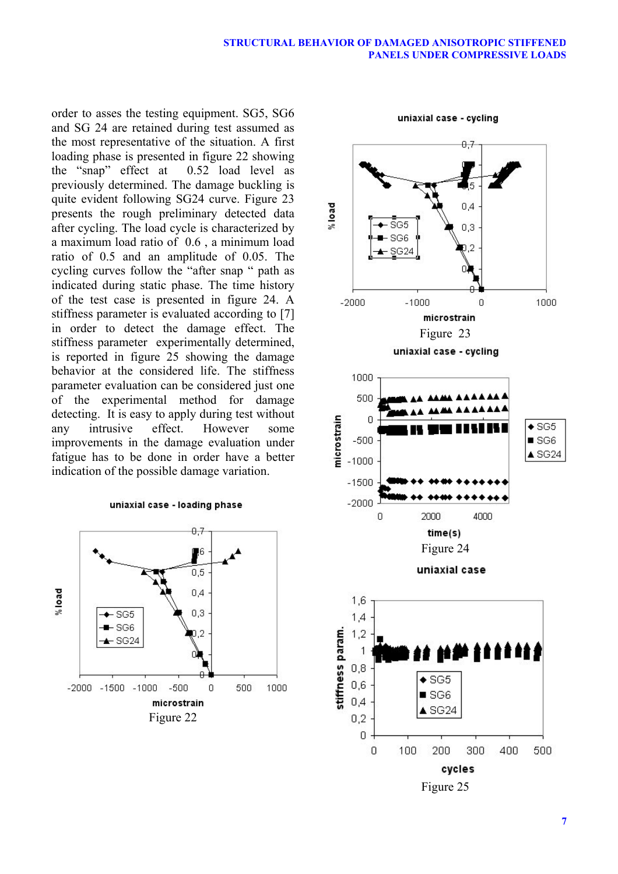order to asses the testing equipment. SG5, SG6 and SG 24 are retained during test assumed as the most representative of the situation. A first loading phase is presented in figure 22 showing the "snap" effect at 0.52 load level as previously determined. The damage buckling is quite evident following SG24 curve. Figure 23 presents the rough preliminary detected data after cycling. The load cycle is characterized by a maximum load ratio of 0.6 , a minimum load ratio of 0.5 and an amplitude of 0.05. The cycling curves follow the "after snap " path as indicated during static phase. The time history of the test case is presented in figure 24. A stiffness parameter is evaluated according to [7] in order to detect the damage effect. The stiffness parameter experimentally determined, is reported in figure 25 showing the damage behavior at the considered life. The stiffness parameter evaluation can be considered just one of the experimental method for damage detecting. It is easy to apply during test without any intrusive effect. However some improvements in the damage evaluation under fatigue has to be done in order have a better indication of the possible damage variation.

#### uniaxial case - loading phase